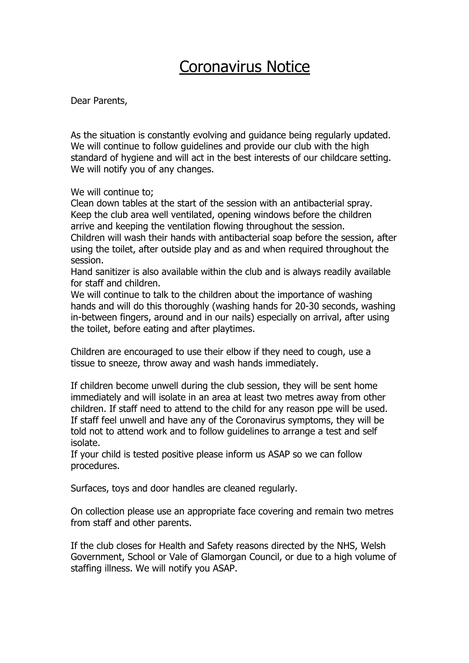## Coronavirus Notice

Dear Parents,

As the situation is constantly evolving and guidance being regularly updated. We will continue to follow guidelines and provide our club with the high standard of hygiene and will act in the best interests of our childcare setting. We will notify you of any changes.

We will continue to:

Clean down tables at the start of the session with an antibacterial spray. Keep the club area well ventilated, opening windows before the children arrive and keeping the ventilation flowing throughout the session. Children will wash their hands with antibacterial soap before the session, after using the toilet, after outside play and as and when required throughout the session.

Hand sanitizer is also available within the club and is always readily available for staff and children.

We will continue to talk to the children about the importance of washing hands and will do this thoroughly (washing hands for 20-30 seconds, washing in-between fingers, around and in our nails) especially on arrival, after using the toilet, before eating and after playtimes.

Children are encouraged to use their elbow if they need to cough, use a tissue to sneeze, throw away and wash hands immediately.

If children become unwell during the club session, they will be sent home immediately and will isolate in an area at least two metres away from other children. If staff need to attend to the child for any reason ppe will be used. If staff feel unwell and have any of the Coronavirus symptoms, they will be told not to attend work and to follow guidelines to arrange a test and self isolate.

If your child is tested positive please inform us ASAP so we can follow procedures.

Surfaces, toys and door handles are cleaned regularly.

On collection please use an appropriate face covering and remain two metres from staff and other parents.

If the club closes for Health and Safety reasons directed by the NHS, Welsh Government, School or Vale of Glamorgan Council, or due to a high volume of staffing illness. We will notify you ASAP.